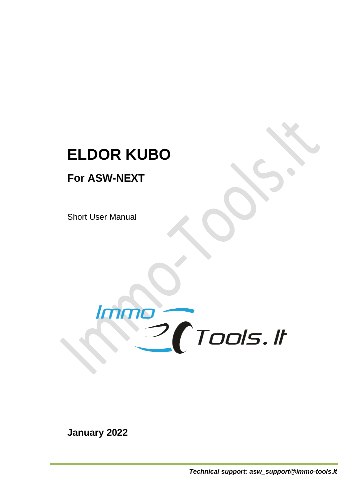# **ELDOR KUBO**

## **For ASW-NEXT**

Short User Manual



**January 2022**

*Technical support: asw\_support@immo-tools.lt*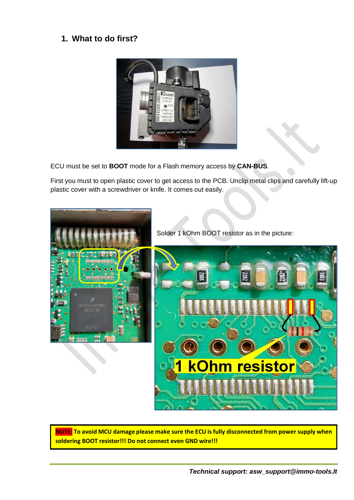### **1. What to do first?**



ECU must be set to **BOOT** mode for a Flash memory access by **CAN-BUS**.

First you must to open plastic cover to get access to the PCB. Unclip metal clips and carefully lift-up plastic cover with a screwdriver or knife. It comes out easily.



Solder 1 kOhm BOOT resistor as in the picture:



**NOTE: To avoid MCU damage please make sure the ECU is fully disconnected from power supply when soldering BOOT resistor!!! Do not connect even GND wire!!!**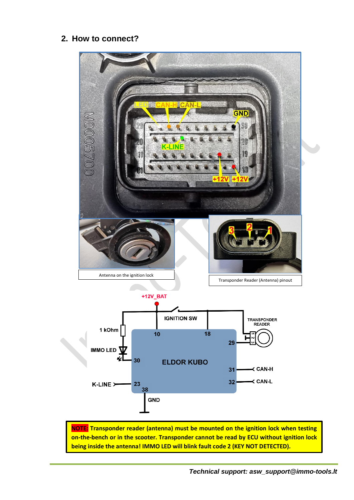### **2. How to connect?**



**NOTE: Transponder reader (antenna) must be mounted on the ignition lock when testing on-the-bench or in the scooter. Transponder cannot be read by ECU without ignition lock being inside the antenna! IMMO LED will blink fault code 2 (KEY NOT DETECTED).**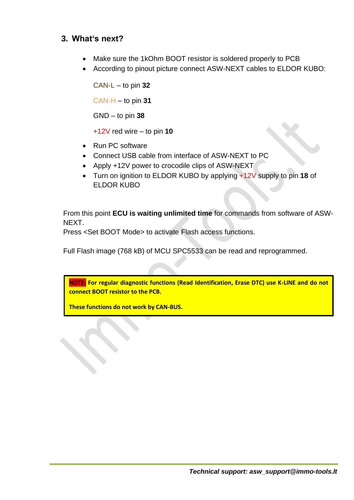### **3. What's next?**

- Make sure the 1kOhm BOOT resistor is soldered properly to PCB
- According to pinout picture connect ASW-NEXT cables to ELDOR KUBO:

CAN-L – to pin **32** CAN-H – to pin **31** GND – to pin **38**

+12V red wire – to pin **10**

- Run PC software
- Connect USB cable from interface of ASW-NEXT to PC
- Apply +12V power to crocodile clips of ASW-NEXT
- Turn on ignition to ELDOR KUBO by applying +12V supply to pin **18** of ELDOR KUBO

From this point **ECU is waiting unlimited time** for commands from software of ASW-NEXT.

Press <Set BOOT Mode> to activate Flash access functions.

Full Flash image (768 kB) of MCU SPC5533 can be read and reprogrammed.

**NOTE: For regular diagnostic functions (Read Identification, Erase DTC) use K-LINE and do not connect BOOT resistor to the PCB.** 

**These functions do not work by CAN-BUS.**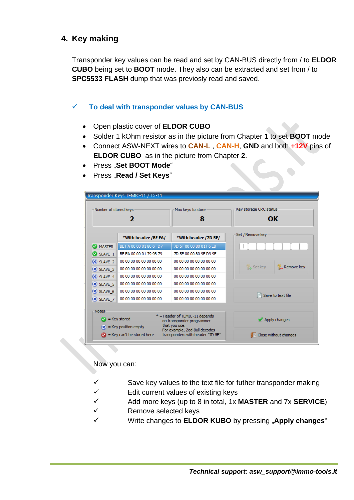### **4. Key making**

Transponder key values can be read and set by CAN-BUS directly from / to **ELDOR CUBO** being set to **BOOT** mode. They also can be extracted and set from / to **SPC5533 FLASH** dump that was previosly read and saved.

#### ✓ **To deal with transponder values by CAN-BUS**

- Open plastic cover of **ELDOR CUBO**
- Solder 1 kOhm resistor as in the picture from Chapter **1** to set **BOOT** mode
- Connect ASW-NEXT wires to **CAN-L** , **CAN-H**, **GND** and both **+12V** pins of **ELDOR CUBO** as in the picture from Chapter **2**.
- Press "**Set BOOT Mode**"
- Press "Read / Set Keys"

| Number of stored keys<br>7             |                                     | Max keys to store<br>8                                                                                        | Key storage CRC status<br>OK          |
|----------------------------------------|-------------------------------------|---------------------------------------------------------------------------------------------------------------|---------------------------------------|
|                                        |                                     |                                                                                                               |                                       |
| <b>MASTER</b><br>Ø                     | BE FA 00 00 01 80 6F D7             | 7D 5F 00 00 80 01 F6 EB                                                                                       |                                       |
| SLAVE_1                                | BE FA 00 00 01 79 9B 79             | 7D 5F 00 00 80 9E D9 9E                                                                                       |                                       |
| $\mathsf{\times}$ SLAVE 2              | 00 00 00 00 00 00 00 00             | 00 00 00 00 00 00 00 00                                                                                       |                                       |
| $\mathbb{X}$ SLAVE 3                   | 00 00 00 00 00 00 00 00             | 00 00 00 00 00 00 00 00                                                                                       | <b>B</b> Set key<br><b>Remove key</b> |
| $\mathsf{X}$ SLAVE 4                   | 00 00 00 00 00 00 00 00             | 00 00 00 00 00 00 00 00                                                                                       |                                       |
| $\mathsf{\times}$ SLAVE 5              | 00 00 00 00 00 00 00 00             | 00 00 00 00 00 00 00 00                                                                                       |                                       |
| $\mathsf{X}$ SLAVE 6                   | 00 00 00 00 00 00 00 00             | 00 00 00 00 00 00 00 00                                                                                       | Save to text file                     |
| $\mathsf{\times}$ SLAVE 7              | 00 00 00 00 00 00 00 00             | 00 00 00 00 00 00 00 00                                                                                       |                                       |
| <b>Notes</b><br>$\bullet$ = Key stored | $(\mathbf{x})$ = Key position empty | * = Header of TEMIC-11 depends<br>on transponder programmer<br>that you use.<br>For example, Zed-Bull decodes | Apply changes                         |

Now you can:

- $\checkmark$  Save key values to the text file for futher transponder making
- $\checkmark$  Edit current values of existing keys
- ✓ Add more keys (up to 8 in total, 1x **MASTER** and 7x **SERVICE**)
- ✓ Remove selected keys
- ✓ Write changes to **ELDOR KUBO** by pressing "**Apply changes**"